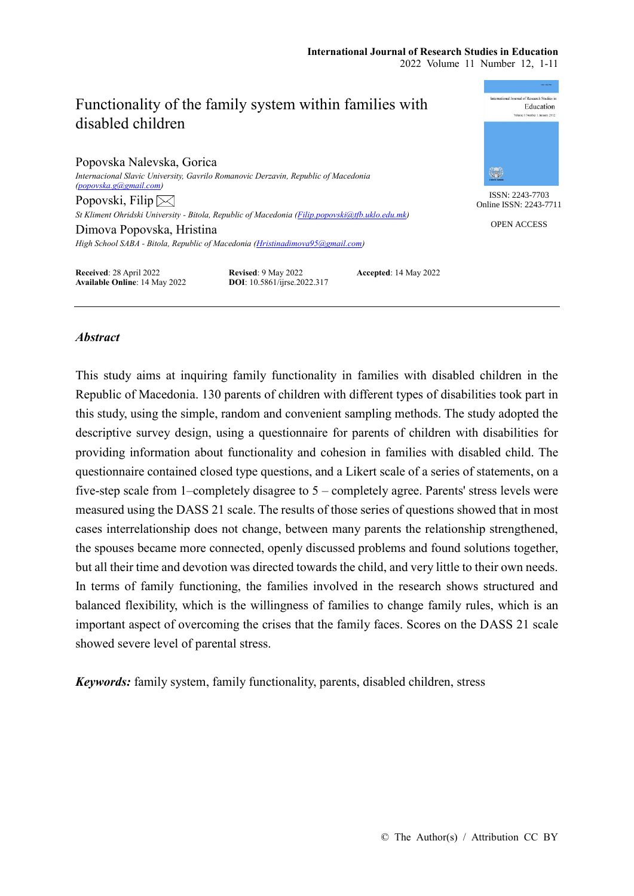#### International Journal of Receptib. Studies in Functionality of the family system within families with Education disabled children Popovska Nalevska, Gorica 鑑 *Internacional Slavic University, Gavrilo Romanovic Derzavin, Republic of Macedonia [\(popovska.g@gmail.com\)](mailto:popovska.g@gmail.com)* ISSN: 2243-7703 Popovski, Filip $\boxtimes$ Online ISSN: 2243-7711 *St Kliment Ohridski University - Bitola, Republic of Macedonia [\(Filip.popovski@tfb.uklo.edu.mk\)](mailto:Filip.popovski@tfb.uklo.edu.mk)* OPEN ACCESS Dimova Popovska, Hristina *High School SABA - Bitola, Republic of Macedonia [\(Hristinadimova95@gmail.com\)](mailto:Hristinadimova95@gmail.com)* **Received**: 28 April 2022 **Revised**: 9 May 2022 **Accepted**: 14 May 2022 **Available Online**: 14 May 2022 **DOI**: 10.5861/ijrse.2022.317

# *Abstract*

This study aims at inquiring family functionality in families with disabled children in the Republic of Macedonia. 130 parents of children with different types of disabilities took part in this study, using the simple, random and convenient sampling methods. The study adopted the descriptive survey design, using a questionnaire for parents of children with disabilities for providing information about functionality and cohesion in families with disabled child. The questionnaire contained closed type questions, and a Likert scale of a series of statements, on a five-step scale from 1–completely disagree to 5 – completely agree. Parents' stress levels were measured using the DASS 21 scale. The results of those series of questions showed that in most cases interrelationship does not change, between many parents the relationship strengthened, the spouses became more connected, openly discussed problems and found solutions together, but all their time and devotion was directed towards the child, and very little to their own needs. In terms of family functioning, the families involved in the research shows structured and balanced flexibility, which is the willingness of families to change family rules, which is an important aspect of overcoming the crises that the family faces. Scores on the DASS 21 scale showed severe level of parental stress.

*Keywords:* family system, family functionality, parents, disabled children, stress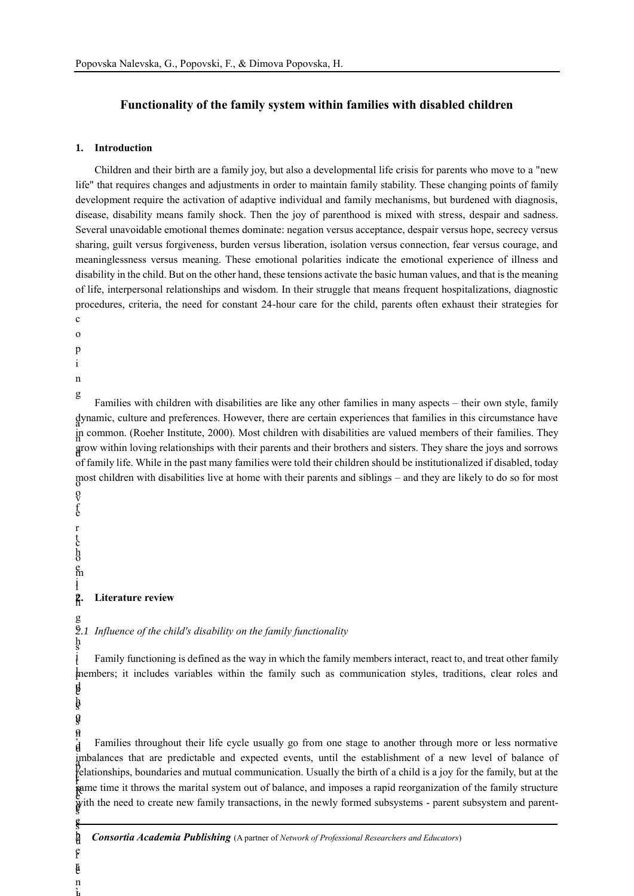## **Functionality of the family system within families with disabled children**

#### **1. Introduction**

Children and their birth are a family joy, but also a developmental life crisis for parents who move to a "new life" that requires changes and adjustments in order to maintain family stability. These changing points of family development require the activation of adaptive individual and family mechanisms, but burdened with diagnosis, disease, disability means family shock. Then the joy of parenthood is mixed with stress, despair and sadness. Several unavoidable emotional themes dominate: negation versus acceptance, despair versus hope, secrecy versus sharing, guilt versus forgiveness, burden versus liberation, isolation versus connection, fear versus courage, and meaninglessness versus meaning. These emotional polarities indicate the emotional experience of illness and disability in the child. But on the other hand, these tensions activate the basic human values, and that is the meaning of life, interpersonal relationships and wisdom. In their struggle that means frequent hospitalizations, diagnostic procedures, criteria, the need for constant 24-hour care for the child, parents often exhaust their strategies for c

- o
- p
- i

n

g

a dynamic, culture and preferences. However, there are certain experiences that families in this circumstance have n in common. (Roeher Institute, 2000). Most children with disabilities are valued members of their families. They d grow within loving relationships with their parents and their brothers and sisters. They share the joys and sorrows most children with disabilities live at home with their parents and siblings – and they are likely to do so for most v o Families with children with disabilities are like any other families in many aspects – their own style, family of family life. While in the past many families were told their children should be institutionalized if disabled, today

e f r c t o h m e

i i n r **2. Literature review**

c *2.1 Influence of the child's disability on the family functionality*

s h t r l members; it includes variables within the family such as communication styles, traditions, clear roles and e d b i Family functioning is defined as the way in which the family members interact, react to, and treat other family

s

s

e

r e e r a , n

I

d

g

, o n p r e with the need to create new family transactions, in the newly formed subsystems - parent subsystem and parentd d relationships, boundaries and mutual communication. Usually the birth of a child is a joy for the family, but at the time time it throws the marital system out of balance, and imposes a rapid reorganization of the family structure imbalances that are predictable and expected events, until the establishment of a new level of balance of Families throughout their life cycle usually go from one stage to another through more or less normative

2 *Consortia Academia Publishing* (A partner of *Network of Professional Researchers and Educators*) u h ,

s h o s o u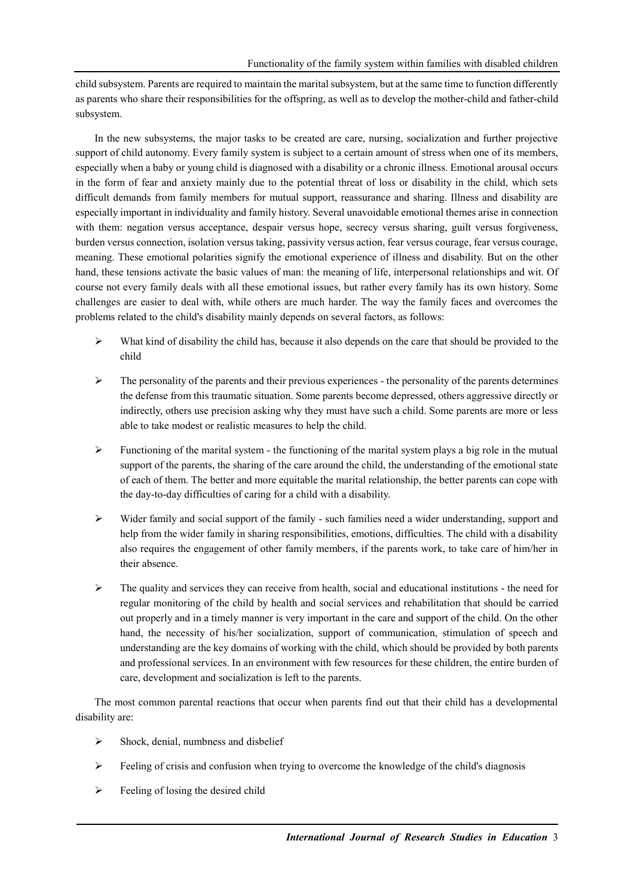child subsystem. Parents are required to maintain the marital subsystem, but at the same time to function differently as parents who share their responsibilities for the offspring, as well as to develop the mother-child and father-child subsystem.

In the new subsystems, the major tasks to be created are care, nursing, socialization and further projective support of child autonomy. Every family system is subject to a certain amount of stress when one of its members, especially when a baby or young child is diagnosed with a disability or a chronic illness. Emotional arousal occurs in the form of fear and anxiety mainly due to the potential threat of loss or disability in the child, which sets difficult demands from family members for mutual support, reassurance and sharing. Illness and disability are especially important in individuality and family history. Several unavoidable emotional themes arise in connection with them: negation versus acceptance, despair versus hope, secrecy versus sharing, guilt versus forgiveness, burden versus connection, isolation versus taking, passivity versus action, fear versus courage, fear versus courage, meaning. These emotional polarities signify the emotional experience of illness and disability. But on the other hand, these tensions activate the basic values of man: the meaning of life, interpersonal relationships and wit. Of course not every family deals with all these emotional issues, but rather every family has its own history. Some challenges are easier to deal with, while others are much harder. The way the family faces and overcomes the problems related to the child's disability mainly depends on several factors, as follows:

- $\triangleright$  What kind of disability the child has, because it also depends on the care that should be provided to the child
- $\triangleright$  The personality of the parents and their previous experiences the personality of the parents determines the defense from this traumatic situation. Some parents become depressed, others aggressive directly or indirectly, others use precision asking why they must have such a child. Some parents are more or less able to take modest or realistic measures to help the child.
- Functioning of the marital system the functioning of the marital system plays a big role in the mutual support of the parents, the sharing of the care around the child, the understanding of the emotional state of each of them. The better and more equitable the marital relationship, the better parents can cope with the day-to-day difficulties of caring for a child with a disability.
- $\triangleright$  Wider family and social support of the family such families need a wider understanding, support and help from the wider family in sharing responsibilities, emotions, difficulties. The child with a disability also requires the engagement of other family members, if the parents work, to take care of him/her in their absence.
- $\triangleright$  The quality and services they can receive from health, social and educational institutions the need for regular monitoring of the child by health and social services and rehabilitation that should be carried out properly and in a timely manner is very important in the care and support of the child. On the other hand, the necessity of his/her socialization, support of communication, stimulation of speech and understanding are the key domains of working with the child, which should be provided by both parents and professional services. In an environment with few resources for these children, the entire burden of care, development and socialization is left to the parents.

The most common parental reactions that occur when parents find out that their child has a developmental disability are:

- $\triangleright$  Shock, denial, numbness and disbelief
- $\triangleright$  Feeling of crisis and confusion when trying to overcome the knowledge of the child's diagnosis
- $\triangleright$  Feeling of losing the desired child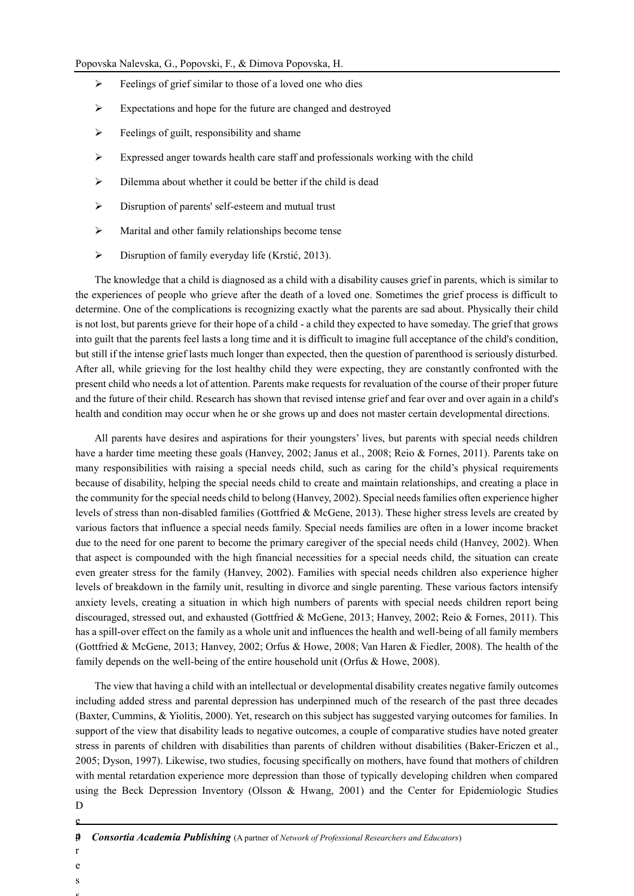- $\triangleright$  Feelings of grief similar to those of a loved one who dies
- $\triangleright$  Expectations and hope for the future are changed and destroyed
- $\triangleright$  Feelings of guilt, responsibility and shame
- $\triangleright$  Expressed anger towards health care staff and professionals working with the child
- $\triangleright$  Dilemma about whether it could be better if the child is dead
- Disruption of parents' self-esteem and mutual trust
- Marital and other family relationships become tense
- Disruption of family everyday life (Krstić, 2013).

The knowledge that a child is diagnosed as a child with a disability causes grief in parents, which is similar to the experiences of people who grieve after the death of a loved one. Sometimes the grief process is difficult to determine. One of the complications is recognizing exactly what the parents are sad about. Physically their child is not lost, but parents grieve for their hope of a child - a child they expected to have someday. The grief that grows into guilt that the parents feel lasts a long time and it is difficult to imagine full acceptance of the child's condition, but still if the intense grief lasts much longer than expected, then the question of parenthood is seriously disturbed. After all, while grieving for the lost healthy child they were expecting, they are constantly confronted with the present child who needs a lot of attention. Parents make requests for revaluation of the course of their proper future and the future of their child. Research has shown that revised intense grief and fear over and over again in a child's health and condition may occur when he or she grows up and does not master certain developmental directions.

All parents have desires and aspirations for their youngsters' lives, but parents with special needs children have a harder time meeting these goals (Hanvey, 2002; Janus et al., 2008; Reio & Fornes, 2011). Parents take on many responsibilities with raising a special needs child, such as caring for the child's physical requirements because of disability, helping the special needs child to create and maintain relationships, and creating a place in the community for the special needs child to belong (Hanvey, 2002). Special needs families often experience higher levels of stress than non-disabled families (Gottfried & McGene, 2013). These higher stress levels are created by various factors that influence a special needs family. Special needs families are often in a lower income bracket due to the need for one parent to become the primary caregiver of the special needs child (Hanvey, 2002). When that aspect is compounded with the high financial necessities for a special needs child, the situation can create even greater stress for the family (Hanvey, 2002). Families with special needs children also experience higher levels of breakdown in the family unit, resulting in divorce and single parenting. These various factors intensify anxiety levels, creating a situation in which high numbers of parents with special needs children report being discouraged, stressed out, and exhausted (Gottfried & McGene, 2013; Hanvey, 2002; Reio & Fornes, 2011). This has a spill-over effect on the family as a whole unit and influences the health and well-being of all family members (Gottfried & McGene, 2013; Hanvey, 2002; Orfus & Howe, 2008; Van Haren & Fiedler, 2008). The health of the family depends on the well-being of the entire household unit (Orfus & Howe, 2008).

The view that having a child with an intellectual or developmental disability creates negative family outcomes including added stress and parental depression has underpinned much of the research of the past three decades (Baxter, Cummins, & Yiolitis, 2000). Yet, research on this subject has suggested varying outcomes for families. In support of the view that disability leads to negative outcomes, a couple of comparative studies have noted greater stress in parents of children with disabilities than parents of children without disabilities (Baker-Ericzen et al., 2005; Dyson, 1997). Likewise, two studies, focusing specifically on mothers, have found that mothers of children with mental retardation experience more depression than those of typically developing children when compared using the Beck Depression Inventory (Olsson & Hwang, 2001) and the Center for Epidemiologic Studies D

r e

s s

e

<sup>4</sup> *Consortia Academia Publishing* (A partner of *Network of Professional Researchers and Educators*)  $\boldsymbol{p}$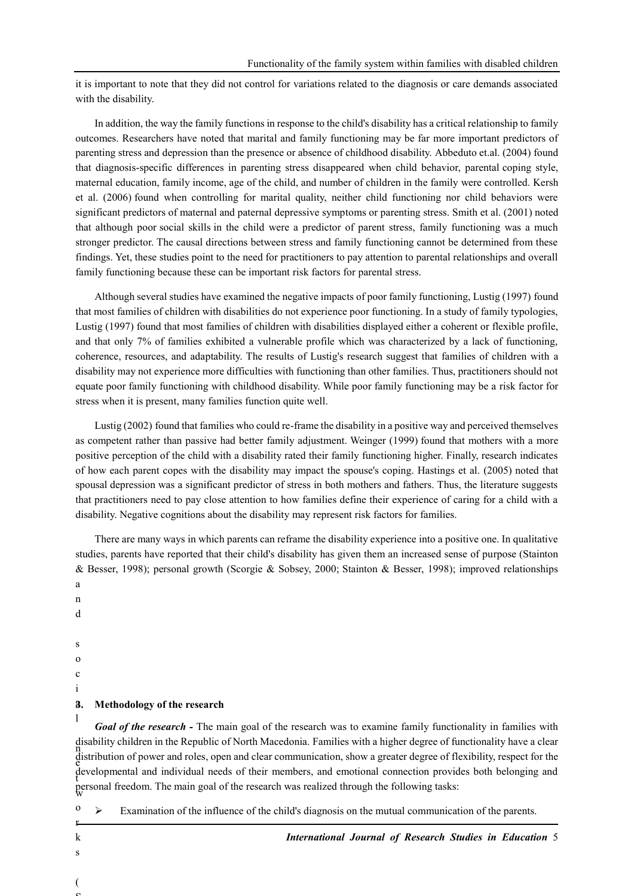it is important to note that they did not control for variations related to the diagnosis or care demands associated with the disability.

In addition, the way the family functions in response to the child's disability has a critical relationship to family outcomes. Researchers have noted that marital and family functioning may be far more important predictors of parenting stress and depression than the presence or absence of childhood disability. Abbeduto et.al. (2004) found that diagnosis-specific differences in parenting stress disappeared when child behavior, parental coping style, maternal education, family income, age of the child, and number of children in the family were controlled. Kersh et al. (2006) found when controlling for marital quality, neither child functioning nor child behaviors were significant predictors of maternal and paternal depressive symptoms or parenting stress. Smith et al. (2001) noted that although poor social skills in the child were a predictor of parent stress, family functioning was a much stronger predictor. The causal directions between stress and family functioning cannot be determined from these findings. Yet, these studies point to the need for practitioners to pay attention to parental relationships and overall family functioning because these can be important risk factors for parental stress.

Although several studies have examined the negative impacts of poor family functioning, Lustig (1997) found that most families of children with disabilities do not experience poor functioning. In a study of family typologies, Lustig (1997) found that most families of children with disabilities displayed either a coherent or flexible profile, and that only 7% of families exhibited a vulnerable profile which was characterized by a lack of functioning, coherence, resources, and adaptability. The results of Lustig's research suggest that families of children with a disability may not experience more difficulties with functioning than other families. Thus, practitioners should not equate poor family functioning with childhood disability. While poor family functioning may be a risk factor for stress when it is present, many families function quite well.

Lustig (2002) found that families who could re-frame the disability in a positive way and perceived themselves as competent rather than passive had better family adjustment. Weinger (1999) found that mothers with a more positive perception of the child with a disability rated their family functioning higher. Finally, research indicates of how each parent copes with the disability may impact the spouse's coping. Hastings et al. (2005) noted that spousal depression was a significant predictor of stress in both mothers and fathers. Thus, the literature suggests that practitioners need to pay close attention to how families define their experience of caring for a child with a disability. Negative cognitions about the disability may represent risk factors for families.

There are many ways in which parents can reframe the disability experience into a positive one. In qualitative studies, parents have reported that their child's disability has given them an increased sense of purpose (Stainton & Besser, 1998); personal growth (Scorgie & Sobsey, 2000; Stainton & Besser, 1998); improved relationships a n

- d
- s
- o
- c
- i

l

#### a **3. Methodology of the research**

disability children in the Republic of North Macedonia. Families with a higher degree of functionality have a clear<br>https://www.com/statestance/statestance/statestance/statestance/statestance/statestance/statestance/states distribution of power and roles, open and clear communication, show a greater degree of flexibility, respect for the developmental and individual needs of their members, and emotional connection provides both belonging and the contract of the contract of the contract of the contract of the contract of the contract of the contract of the w personal freedom. The main goal of the research was realized through the following tasks: *Goal of the research* - The main goal of the research was to examine family functionality in families with

 $\triangleright$  Examination of the influence of the child's diagnosis on the mutual communication of the parents.

*International Journal of Research Studies in Education* 5

(  $\mathbf{C}$ 

o r k s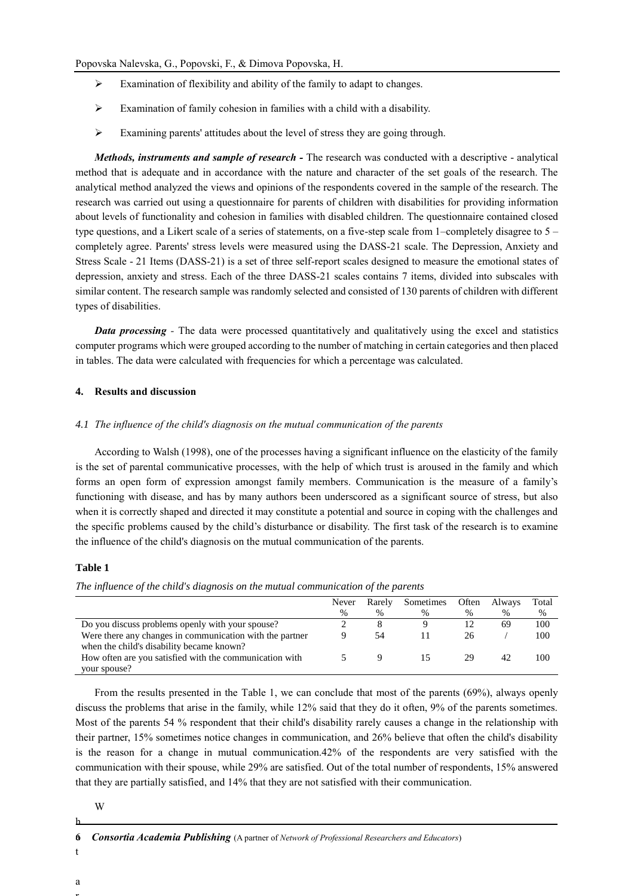- $\triangleright$  Examination of flexibility and ability of the family to adapt to changes.
- $\triangleright$  Examination of family cohesion in families with a child with a disability.
- Examining parents' attitudes about the level of stress they are going through.

*Methods, instruments and sample of research -* The research was conducted with a descriptive - analytical method that is adequate and in accordance with the nature and character of the set goals of the research. The analytical method analyzed the views and opinions of the respondents covered in the sample of the research. The research was carried out using a questionnaire for parents of children with disabilities for providing information about levels of functionality and cohesion in families with disabled children. The questionnaire contained closed type questions, and a Likert scale of a series of statements, on a five-step scale from 1–completely disagree to 5 – completely agree. Parents' stress levels were measured using the DASS-21 scale. The Depression, Anxiety and Stress Scale - 21 Items (DASS-21) is a set of three self-report scales designed to measure the emotional states of depression, anxiety and stress. Each of the three DASS-21 scales contains 7 items, divided into subscales with similar content. The research sample was randomly selected and consisted of 130 parents of children with different types of disabilities.

*Data processing* - The data were processed quantitatively and qualitatively using the excel and statistics computer programs which were grouped according to the number of matching in certain categories and then placed in tables. The data were calculated with frequencies for which a percentage was calculated.

#### **4. Results and discussion**

#### *4.1 The influence of the child's diagnosis on the mutual communication of the parents*

According to Walsh (1998), one of the processes having a significant influence on the elasticity of the family is the set of parental communicative processes, with the help of which trust is aroused in the family and which forms an open form of expression amongst family members. Communication is the measure of a family's functioning with disease, and has by many authors been underscored as a significant source of stress, but also when it is correctly shaped and directed it may constitute a potential and source in coping with the challenges and the specific problems caused by the child's disturbance or disability. The first task of the research is to examine the influence of the child's diagnosis on the mutual communication of the parents.

## **Table 1**

*Тhe influence of the child's diagnosis on the mutual communication of the parents*

|                                                          | Never | Rarely | Sometimes | Often | Always | Total |
|----------------------------------------------------------|-------|--------|-----------|-------|--------|-------|
|                                                          | $\%$  | $\%$   | %         | $\%$  | $\%$   | $\%$  |
| Do you discuss problems openly with your spouse?         |       |        |           |       | 69     | 100   |
| Were there any changes in communication with the partner |       | 54     |           | 26    |        | 100   |
| when the child's disability became known?                |       |        |           |       |        |       |
| How often are you satisfied with the communication with  |       |        |           | 29    | 42     | 100   |
| your spouse?                                             |       |        |           |       |        |       |

From the results presented in the Тable 1, we can conclude that most of the parents (69%), always openly discuss the problems that arise in the family, while 12% said that they do it often, 9% of the parents sometimes. Most of the parents 54 % respondent that their child's disability rarely causes a change in the relationship with their partner, 15% sometimes notice changes in communication, and 26% believe that often the child's disability is the reason for a change in mutual communication.42% of the respondents are very satisfied with the communication with their spouse, while 29% are satisfied. Out of the total number of respondents, 15% answered that they are partially satisfied, and 14% that they are not satisfied with their communication.

W

- 6 *Consortia Academia Publishing* (A partner of *Network of Professional Researchers and Educators*) a
- a r

h

t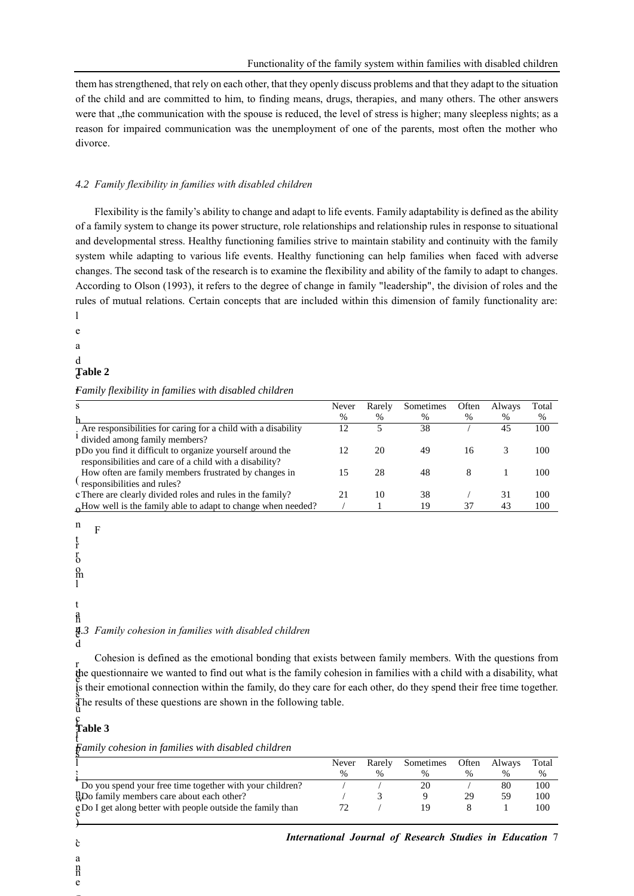them has strengthened, that rely on each other, that they openly discuss problems and that they adapt to the situation of the child and are committed to him, to finding means, drugs, therapies, and many others. The other answers were that "the communication with the spouse is reduced, the level of stress is higher; many sleepless nights; as a reason for impaired communication was the unemployment of one of the parents, most often the mother who divorce.

#### *4.2 Family flexibility in families with disabled children*

Flexibility is the family's ability to change and adapt to life events. Family adaptability is defined as the ability of a family system to change its power structure, role relationships and relationship rules in response to situational and developmental stress. Healthy functioning families strive to maintain stability and continuity with the family system while adapting to various life events. Healthy functioning can help families when faced with adverse changes. The second task of the research is to examine the flexibility and ability of the family to adapt to changes. According to Olson (1993), it refers to the degree of change in family "leadership", the division of roles and the rules of mutual relations. Certain concepts that are included within this dimension of family functionality are: l

e a d e **Table 2**

## r *Family flexibility in families with disabled children*

| s                                                               | Never | Rarely | Sometimes | Often | Always | Total |
|-----------------------------------------------------------------|-------|--------|-----------|-------|--------|-------|
| h                                                               | %     | %      | %         | %     | $\%$   | %     |
| . Are responsibilities for caring for a child with a disability | 12    |        | 38        |       | 45     | 100   |
| <sup>1</sup> divided among family members?                      |       |        |           |       |        |       |
| pDo you find it difficult to organize yourself around the       | 12    | 20     | 49        | 16    |        | 100   |
| responsibilities and care of a child with a disability?         |       |        |           |       |        |       |
| How often are family members frustrated by changes in           | 15    | 28     | 48        | 8     |        | 100   |
| $\ell$ responsibilities and rules?                              |       |        |           |       |        |       |
| c There are clearly divided roles and rules in the family?      | 21    | 10     | 38        |       | 31     | 100   |
| 6How well is the family able to adapt to change when needed?    |       |        | 19        | 37    | 43     | 100   |
|                                                                 |       |        |           |       |        |       |

n t r r o o m l a h n e *4.3 Family cohesion in families with disabled children* d F t

d i is their emotional connection within the family, do they care for each other, do they spend their free time together. s r the questionnaire we wanted to find out what is the family cohesion in families with a child with a disability, what s The results of these questions are shown in the following table. Cohesion is defined as the emotional bonding that exists between family members. With the questions from

#### c i l **Table 3**

) , c

n n e g

a

 $\boldsymbol{p}$ t s *Family cohesion in families with disabled children*

|                                                                   | Never | Rarely | Sometimes | Often | Always | Total |
|-------------------------------------------------------------------|-------|--------|-----------|-------|--------|-------|
|                                                                   |       |        | $\%$      | $\%$  | $\%$   | %     |
| Do you spend your free time together with your children?          |       |        |           |       | 80     | 100   |
| $_{\text{W}}^{\text{n}}$ Do family members care about each other? |       |        |           |       | 59     | 100   |
| gDo I get along better with people outside the family than        |       |        | 1 Q       |       |        | 100   |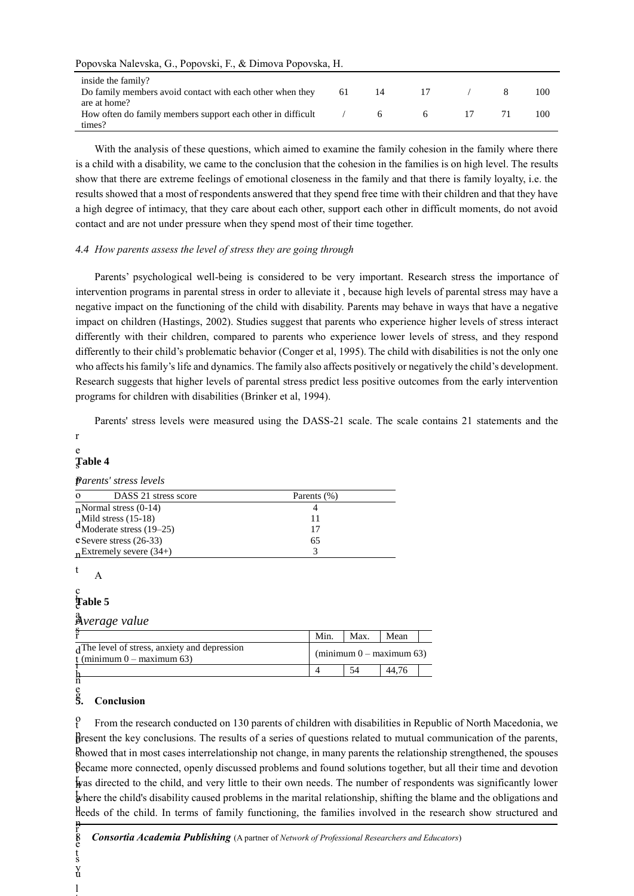| Popovska Nalevska, G., Popovski, F., & Dimova Popovska, H. |  |  |  |  |  |  |
|------------------------------------------------------------|--|--|--|--|--|--|
|------------------------------------------------------------|--|--|--|--|--|--|

| inside the family?<br>Do family members avoid contact with each other when they       | 61 | 14 | $\overline{17}$ |  | 100 |
|---------------------------------------------------------------------------------------|----|----|-----------------|--|-----|
| are at home?<br>How often do family members support each other in difficult<br>times? |    | 6. | 6               |  | 100 |

With the analysis of these questions, which aimed to examine the family cohesion in the family where there is a child with a disability, we came to the conclusion that the cohesion in the families is on high level. The results show that there are extreme feelings of emotional closeness in the family and that there is family loyalty, i.e. the results showed that a most of respondents answered that they spend free time with their children and that they have a high degree of intimacy, that they care about each other, support each other in difficult moments, do not avoid contact and are not under pressure when they spend most of their time together.

## *4.4 How parents assess the level of stress they are going through*

Parents' psychological well-being is considered to be very important. Research stress the importance of intervention programs in parental stress in order to alleviate it , because high levels of parental stress may have a negative impact on the functioning of the child with disability. Parents may behave in ways that have a negative impact on children (Hastings, 2002). Studies suggest that parents who experience higher levels of stress interact differently with their children, compared to parents who experience lower levels of stress, and they respond differently to their child's problematic behavior (Conger et al, 1995). The child with disabilities is not the only one who affects his family's life and dynamics. The family also affects positively or negatively the child's development. Research suggests that higher levels of parental stress predict less positive outcomes from the early intervention programs for children with disabilities (Brinker et al, 1994).

Parents' stress levels were measured using the DASS-21 scale. The scale contains 21 statements and the

## e s **Table 4**

r

| <b>Parents' stress levels</b> |  |
|-------------------------------|--|
|                               |  |

| DASS 21 stress score<br>$\Omega$                          | Parents (%) |
|-----------------------------------------------------------|-------------|
| $n$ Normal stress (0-14)                                  |             |
|                                                           |             |
| $d_{\text{Moderate stress}}^{\text{Mild stress} (15-18)}$ | 17          |
| e Severe stress (26-33)                                   | 65          |
| $n$ Extremely severe (34+)                                |             |

t

#### h c c **Table 5**

A

a o *Average value*

|                                                                               | Min. | Max. | Mean                                       |  |
|-------------------------------------------------------------------------------|------|------|--------------------------------------------|--|
| A The level of stress, anxiety and depression<br>t (minimum $0 -$ maximum 63) |      |      | $(\text{minimum } 0 - \text{maximum } 63)$ |  |
|                                                                               |      | 54   | 44.76                                      |  |

h n

i t y

ŗ e s u l

t

#### e g **5. Conclusion**

o Bresent the key conclusions. The results of a series of questions related to mutual communication of the parents, proved that in most cases interrelationship not change, in many parents the relationship strengthened, the spouses Became more connected, openly discussed problems and found solutions together, but all their time and devotion r h was directed to the child, and very little to their own needs. The number of respondents was significantly lower where the child's disability caused problems in the marital relationship, shifting the blame and the obligations and Heeds of the child. In terms of family functioning, the families involved in the research show structured and n t From the research conducted on 130 parents of children with disabilities in Republic of North Macedonia, we

8 *Consortia Academia Publishing* (A partner of *Network of Professional Researchers and Educators*)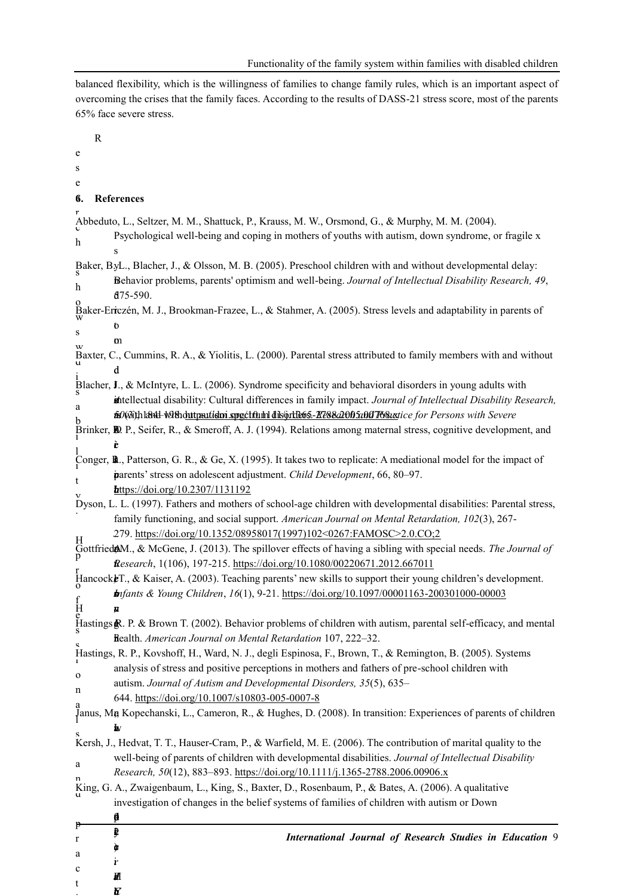balanced flexibility, which is the willingness of families to change family rules, which is an important aspect of overcoming the crises that the family faces. According to the results of DASS-21 stress score, most of the parents 65% face severe stress.

|                    | $\mathbb{R}$ |                                                                                                                                                                                                                   |
|--------------------|--------------|-------------------------------------------------------------------------------------------------------------------------------------------------------------------------------------------------------------------|
| e                  |              |                                                                                                                                                                                                                   |
| S                  |              |                                                                                                                                                                                                                   |
| e                  |              |                                                                                                                                                                                                                   |
| б.                 |              | <b>References</b>                                                                                                                                                                                                 |
|                    |              | Abbeduto, L., Seltzer, M. M., Shattuck, P., Krauss, M. W., Orsmond, G., & Murphy, M. M. (2004).                                                                                                                   |
|                    |              | Psychological well-being and coping in mothers of youths with autism, down syndrome, or fragile x                                                                                                                 |
| h                  |              | s                                                                                                                                                                                                                 |
|                    |              | Baker, ByL., Blacher, J., & Olsson, M. B. (2005). Preschool children with and without developmental delay:                                                                                                        |
| h                  |              | Behavior problems, parents' optimism and well-being. Journal of Intellectual Disability Research, 49,                                                                                                             |
|                    |              | d75-590.                                                                                                                                                                                                          |
|                    |              | Baker-Ericzén, M. J., Brookman-Frazee, L., & Stahmer, A. (2005). Stress levels and adaptability in parents of                                                                                                     |
| s                  |              | O                                                                                                                                                                                                                 |
|                    |              | m<br>Baxter, C., Cummins, R. A., & Yiolitis, L. (2000). Parental stress attributed to family members with and without                                                                                             |
|                    |              | d                                                                                                                                                                                                                 |
|                    |              | Blacher, $\mathbf{J}$ , & McIntyre, L. L. (2006). Syndrome specificity and behavioral disorders in young adults with                                                                                              |
|                    |              | intellectual disability: Cultural differences in family impact. Journal of Intellectual Disability Research,                                                                                                      |
| a                  |              | fs0(@i)hl&t4l-W98hduttpautidm spectfullhldils@rtl&65-R&820065u00T&8uxtice for Persons with Severe                                                                                                                 |
|                    |              | Brinker, <b>R</b> , P., Seifer, R., & Smeroff, A. J. (1994). Relations among maternal stress, cognitive development, and                                                                                          |
|                    |              | È                                                                                                                                                                                                                 |
|                    |              | Conger, <b>R</b> ., Patterson, G. R., & Ge, X. (1995). It takes two to replicate: A mediational model for the impact of                                                                                           |
| t                  |              | parents' stress on adolescent adjustment. Child Development, 66, 80-97.                                                                                                                                           |
|                    |              | $\frac{\text{https://doi.org/10.2307/1131192}}{2}$                                                                                                                                                                |
|                    |              | Dyson, L. L. (1997). Fathers and mothers of school-age children with developmental disabilities: Parental stress,<br>family functioning, and social support. American Journal on Mental Retardation, 102(3), 267- |
|                    |              | 279. https://doi.org/10.1352/08958017(1997)102<0267:FAMOSC>2.0.CO;2                                                                                                                                               |
| Η                  |              | Gottfried AM., & McGene, J. (2013). The spillover effects of having a sibling with special needs. The Journal of                                                                                                  |
| р                  |              | Research, 1(106), 197-215. https://doi.org/10.1080/00220671.2012.667011                                                                                                                                           |
|                    |              | Hancock F., & Kaiser, A. (2003). Teaching parents' new skills to support their young children's development.                                                                                                      |
|                    |              | <b>Infants &amp; Young Children</b> , 16(1), 9-21. https://doi.org/10.1097/00001163-200301000-00003                                                                                                               |
| $_{\rm e}^{\rm H}$ |              | N                                                                                                                                                                                                                 |
|                    |              | Hastings R. P. & Brown T. (2002). Behavior problems of children with autism, parental self-efficacy, and mental                                                                                                   |
|                    |              | Bealth. American Journal on Mental Retardation 107, 222-32.                                                                                                                                                       |
|                    |              | Hastings, R. P., Kovshoff, H., Ward, N. J., degli Espinosa, F., Brown, T., & Remington, B. (2005). Systems                                                                                                        |
| $\mathbf{o}$       |              | analysis of stress and positive perceptions in mothers and fathers of pre-school children with<br>autism. Journal of Autism and Developmental Disorders, 35(5), 635-                                              |
| n                  |              | 644. https://doi.org/10.1007/s10803-005-0007-8                                                                                                                                                                    |
| а                  |              | Janus, Mg Kopechanski, L., Cameron, R., & Hughes, D. (2008). In transition: Experiences of parents of children                                                                                                    |
|                    |              |                                                                                                                                                                                                                   |
|                    |              | Kersh, J., Hedvat, T. T., Hauser-Cram, P., & Warfield, M. E. (2006). The contribution of marital quality to the                                                                                                   |
| a                  |              | well-being of parents of children with developmental disabilities. Journal of Intellectual Disability                                                                                                             |
| n                  |              | Research, 50(12), 883-893. https://doi.org/10.1111/j.1365-2788.2006.00906.x                                                                                                                                       |
|                    |              | King, G. A., Zwaigenbaum, L., King, S., Baxter, D., Rosenbaum, P., & Bates, A. (2006). A qualitative                                                                                                              |
|                    |              | investigation of changes in the belief systems of families of children with autism or Down                                                                                                                        |
| p                  |              | þ                                                                                                                                                                                                                 |
| r                  |              | ₿<br><b>International Journal of Research Studies in Education 9</b>                                                                                                                                              |
| a                  |              | r                                                                                                                                                                                                                 |
| c                  |              | М                                                                                                                                                                                                                 |
| t                  |              | K                                                                                                                                                                                                                 |

i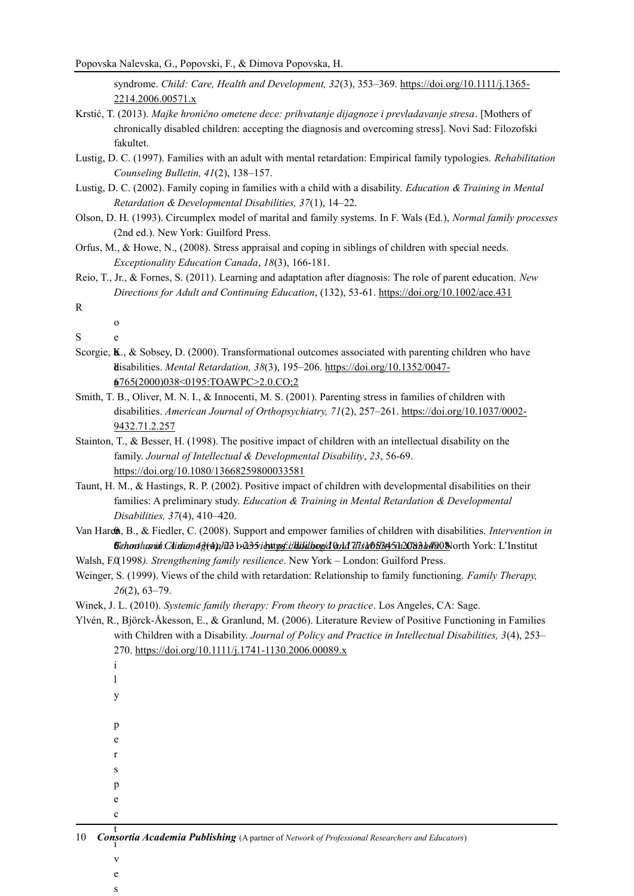syndrome. *Child: Care, Health and Development, 32*(3), 353–369. [https://doi.org/10.1111/j.1365-](https://doi.org/10.1111/j.1365-2214.2006.00571.x) [2214.2006.00571.x](https://doi.org/10.1111/j.1365-2214.2006.00571.x)

- Krstić, T. (2013). *Majke hronično ometene dece: prihvatanje dijagnoze i prevladavanje stresa*. [Mothers of chronically disabled children: accepting the diagnosis and overcoming stress]. Novi Sad: Filozofski fakultet.
- Lustig, D. C. (1997). Families with an adult with mental retardation: Empirical family typologies. *Rehabilitation Counseling Bulletin, 41*(2), 138–157.
- Lustig, D. C. (2002). Family coping in families with a child with a disability. *Education & Training in Mental Retardation & Developmental Disabilities, 37*(1), 14–22.
- Olson, D. H. (1993). Circumplex model of marital and family systems. In F. Wals (Ed.), *Normal family processes* (2nd ed.). New York: Guilford Press.
- Orfus, M., & Howe, N., (2008). Stress appraisal and coping in siblings of children with special needs. *Exceptionality Education Canada*, *18*(3), 166-181.
- Reio, T., Jr., & Fornes, S. (2011). Learning and adaptation after diagnosis: The role of parent education. *New Directions for Adult and Continuing Education*, (132), 53-61[. https://doi.org/10.1002/ace.431](https://doi.org/10.1002/ace.431)

o e

- S
- Scorgie,  $K_{n}$ , & Sobsey, D. (2000). Transformational outcomes associated with parenting children who have disabilities. *Mental Retardation, 38*(3), 195–206. [https://doi.org/10.1352/0047-](https://doi.org/10.1352/0047-6765(2000)038%3c0195:TOAWPC%3e2.0.CO;2) <u>[6765\(2000\)038<0195:TOAWPC>2.0.CO;2](https://doi.org/10.1352/0047-6765(2000)038%3c0195:TOAWPC%3e2.0.CO;2)</u>
- disabilities. *American Journal of Orthopsychiatry, 71*(2), 257–261. [https://doi.org/10.1037/0002-](https://doi.org/10.1037/0002-9432.71.2.257) [9432.71.2.257](https://doi.org/10.1037/0002-9432.71.2.257) Smith, T. B., Oliver, M. N. I., & Innocenti, M. S. (2001). Parenting stress in families of children with l,
- Stainton, T., & Besser, H. (1998). The positive impact of children with an intellectual disability on the t C family. *Journal of Intellectual & Developmental Disability*, *23*, 56-69. <https://doi.org/10.1080/13668259800033581>
- Taunt, H. M., & Hastings, R. P. (2002). Positive impact of children with developmental disabilities on their families: A preliminary study. *Education & Training in Mental Retardation & Developmental* t 2 *Disabilities, 37*(4), 410–420.
- Van Hare**th**, B., & Fiedler, C. (2008). Support and empower families of children with disabilities. *Intervention in Cchool and Chidian 43(4), 123 b 235. i <u>https://kiddboo/</u>dQnd7T/s&0613451120831d4908</mark>North York: L'Institut*
- Walsh, F. (1998). Strengthening family resilience. New York London: Guilford Press.

) Weinger, S. (1999). Views of the child with retardation: Relationship to family functioning. *Family Therapy,*  . *26*(2), 63–79.

Winek, J. L. (2010). *Systemic family therapy: From theory to practice*. Los Angeles, CA: Sage.

F Ylvén, R., Björck-Åkesson, E., & Granlund, M. (2006). Literature Review of Positive Functioning in Families with Children with a Disability. *Journal of Policy and Practice in Intellectual Disabilities*, 3(4), 253– 270. <https://doi.org/10.1111/j.1741-1130.2006.00089.x>

| y            |                                                                                                |
|--------------|------------------------------------------------------------------------------------------------|
|              |                                                                                                |
| p            |                                                                                                |
| e            |                                                                                                |
| r            |                                                                                                |
| S            |                                                                                                |
| n            |                                                                                                |
| e            |                                                                                                |
| $\mathbf{c}$ |                                                                                                |
| 10           | Consortia Academia Publishing (A partner of Network of Professional Researchers and Educators) |

v e s

R